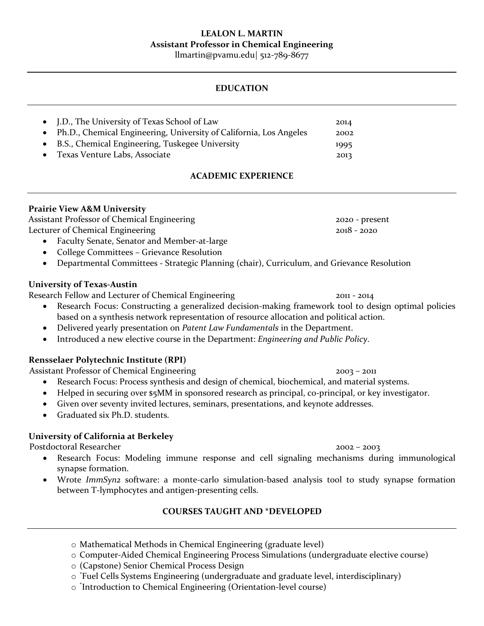# **LEALON L. MARTIN Assistant Professor in Chemical Engineering**

llmartin@pvamu.edu| 512-789-8677

## **EDUCATION**

| • J.D., The University of Texas School of Law                        | 2014 |
|----------------------------------------------------------------------|------|
| • Ph.D., Chemical Engineering, University of California, Los Angeles | 2002 |
| • B.S., Chemical Engineering, Tuskegee University                    | 1995 |
| • Texas Venture Labs, Associate                                      | 2013 |

# **ACADEMIC EXPERIENCE**

## **Prairie View A&M University**

Assistant Professor of Chemical Engineering 2020 - present Lecturer of Chemical Engineering 2018 - 2020

- Faculty Senate, Senator and Member-at-large
- College Committees Grievance Resolution
- Departmental Committees Strategic Planning (chair), Curriculum, and Grievance Resolution

## **University of Texas-Austin**

Research Fellow and Lecturer of Chemical Engineering 2011 - 2014

- Research Focus: Constructing a generalized decision-making framework tool to design optimal policies based on a synthesis network representation of resource allocation and political action.
- Delivered yearly presentation on *Patent Law Fundamentals* in the Department.
- Introduced a new elective course in the Department: *Engineering and Public Policy*.

## **Rensselaer Polytechnic Institute (RPI)**

Assistant Professor of Chemical Engineering 2003 – 2011

- Research Focus: Process synthesis and design of chemical, biochemical, and material systems.
- Helped in securing over \$5MM in sponsored research as principal, co-principal, or key investigator.
- Given over seventy invited lectures, seminars, presentations, and keynote addresses.
- Graduated six Ph.D. students.

# **University of California at Berkeley**

Postdoctoral Researcher 2002 – 2003

- Research Focus: Modeling immune response and cell signaling mechanisms during immunological synapse formation.
- Wrote *ImmSyn2* software: a monte-carlo simulation-based analysis tool to study synapse formation between T-lymphocytes and antigen-presenting cells.

# **COURSES TAUGHT AND \*DEVELOPED**

- o Mathematical Methods in Chemical Engineering (graduate level)
- o Computer-Aided Chemical Engineering Process Simulations (undergraduate elective course)
- o (Capstone) Senior Chemical Process Design
- o \* Fuel Cells Systems Engineering (undergraduate and graduate level, interdisciplinary)
- o \* Introduction to Chemical Engineering (Orientation-level course)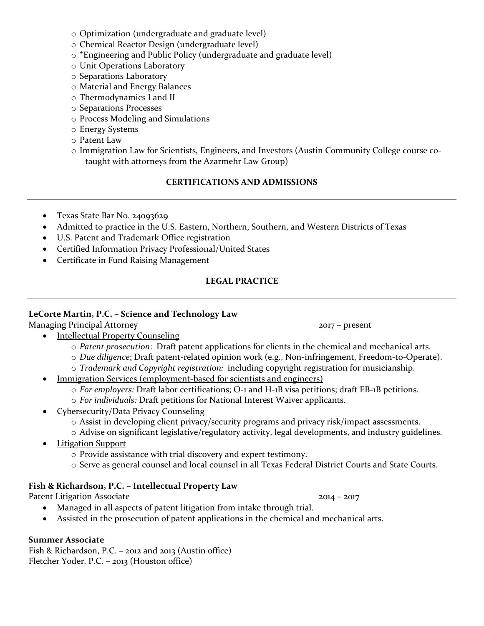- o Optimization (undergraduate and graduate level)
- o Chemical Reactor Design (undergraduate level)
- o \*Engineering and Public Policy (undergraduate and graduate level)
- o Unit Operations Laboratory
- o Separations Laboratory
- o Material and Energy Balances
- o Thermodynamics I and II
- o Separations Processes
- o Process Modeling and Simulations
- o Energy Systems
- o Patent Law
- o Immigration Law for Scientists, Engineers, and Investors (Austin Community College course cotaught with attorneys from the Azarmehr Law Group)

# **CERTIFICATIONS AND ADMISSIONS**

- Texas State Bar No. 24093629
- Admitted to practice in the U.S. Eastern, Northern, Southern, and Western Districts of Texas
- U.S. Patent and Trademark Office registration
- Certified Information Privacy Professional/United States
- Certificate in Fund Raising Management

# **LEGAL PRACTICE**

# **LeCorte Martin, P.C. – Science and Technology Law**

Managing Principal Attorney 2017 – present

- Intellectual Property Counseling
	- o *Patent prosecution*: Draft patent applications for clients in the chemical and mechanical arts.
	- o *Due diligence*: Draft patent-related opinion work (e.g., Non-infringement, Freedom-to-Operate).
	- o *Trademark and Copyright registration:* including copyright registration for musicianship.
- Immigration Services (employment-based for scientists and engineers)
	- o *For employers:* Draft labor certifications; O-1 and H-1B visa petitions; draft EB-1B petitions.
	- o *For individuals:* Draft petitions for National Interest Waiver applicants.
- Cybersecurity/Data Privacy Counseling
	- o Assist in developing client privacy/security programs and privacy risk/impact assessments.
	- o Advise on significant legislative/regulatory activity, legal developments, and industry guidelines.
- Litigation Support
	- o Provide assistance with trial discovery and expert testimony.
	- o Serve as general counsel and local counsel in all Texas Federal District Courts and State Courts.

# **Fish & Richardson, P.C. – Intellectual Property Law**

Patent Litigation Associate 2014 – 2017

- Managed in all aspects of patent litigation from intake through trial.
- Assisted in the prosecution of patent applications in the chemical and mechanical arts.

# **Summer Associate**

Fish & Richardson, P.C. **–** 2012 and 2013 (Austin office) Fletcher Yoder, P.C. **–** 2013 (Houston office)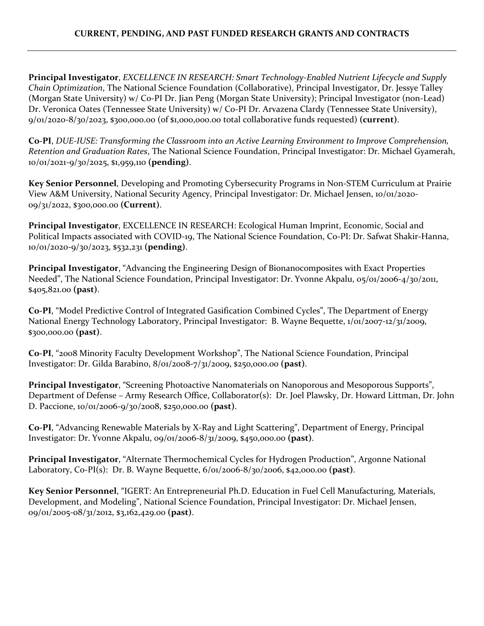**Principal Investigator**, *EXCELLENCE IN RESEARCH: Smart Technology-Enabled Nutrient Lifecycle and Supply Chain Optimization*, The National Science Foundation (Collaborative), Principal Investigator, Dr. Jessye Talley (Morgan State University) w/ Co-PI Dr. Jian Peng (Morgan State University); Principal Investigator (non-Lead) Dr. Veronica Oates (Tennessee State University) w/ Co-PI Dr. Arvazena Clardy (Tennessee State University), 9/01/2020-8/30/2023, \$300,000.00 (of \$1,000,000.00 total collaborative funds requested) **(current)**.

**Co-PI**, *DUE-IUSE: Transforming the Classroom into an Active Learning Environment to Improve Comprehension, Retention and Graduation Rates*, The National Science Foundation, Principal Investigator: Dr. Michael Gyamerah, 10/01/2021-9/30/2025, \$1,959,110 **(pending)**.

**Key Senior Personnel**, Developing and Promoting Cybersecurity Programs in Non-STEM Curriculum at Prairie View A&M University, National Security Agency, Principal Investigator: Dr. Michael Jensen, 10/01/2020- 09/31/2022, \$300,000.00 **(Current)**.

**Principal Investigator**, EXCELLENCE IN RESEARCH: Ecological Human Imprint, Economic, Social and Political Impacts associated with COVID-19, The National Science Foundation, Co-PI: Dr. Safwat Shakir-Hanna, 10/01/2020-9/30/2023, \$532,231 **(pending)**.

**Principal Investigator**, "Advancing the Engineering Design of Bionanocomposites with Exact Properties Needed", The National Science Foundation, Principal Investigator: Dr. Yvonne Akpalu, 05/01/2006-4/30/2011, \$405,821.00 **(past)**.

**Co-PI**, "Model Predictive Control of Integrated Gasification Combined Cycles", The Department of Energy National Energy Technology Laboratory, Principal Investigator: B. Wayne Bequette, 1/01/2007-12/31/2009, \$300,000.00 **(past)**.

**Co-PI**, "2008 Minority Faculty Development Workshop", The National Science Foundation, Principal Investigator: Dr. Gilda Barabino, 8/01/2008-7/31/2009, \$250,000.00 **(past)**.

**Principal Investigator**, "Screening Photoactive Nanomaterials on Nanoporous and Mesoporous Supports", Department of Defense – Army Research Office, Collaborator(s): Dr. Joel Plawsky, Dr. Howard Littman, Dr. John D. Paccione, 10/01/2006-9/30/2008, \$250,000.00 **(past)**.

**Co-PI**, "Advancing Renewable Materials by X-Ray and Light Scattering", Department of Energy, Principal Investigator: Dr. Yvonne Akpalu, 09/01/2006-8/31/2009, \$450,000.00 **(past)**.

**Principal Investigator**, "Alternate Thermochemical Cycles for Hydrogen Production", Argonne National Laboratory, Co-PI(s): Dr. B. Wayne Bequette, 6/01/2006-8/30/2006, \$42,000.00 **(past)**.

**Key Senior Personnel**, "IGERT: An Entrepreneurial Ph.D. Education in Fuel Cell Manufacturing, Materials, Development, and Modeling", National Science Foundation, Principal Investigator: Dr. Michael Jensen, 09/01/2005-08/31/2012, \$3,162,429.00 **(past)**.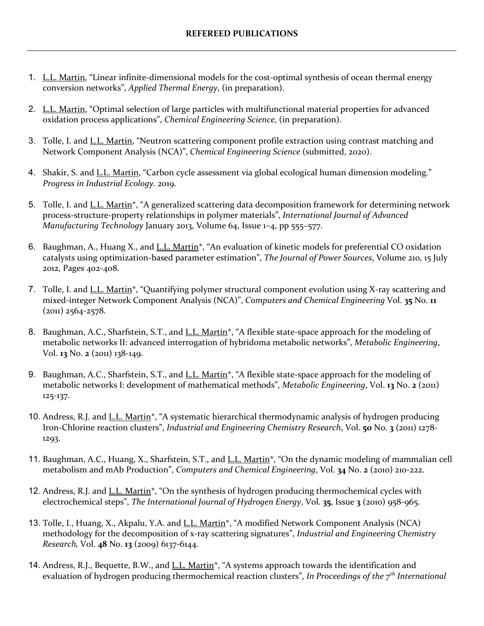- 1. L.L. Martin, "Linear infinite-dimensional models for the cost-optimal synthesis of ocean thermal energy conversion networks", *Applied Thermal Energy*, (in preparation).
- 2. L.L. Martin, "Optimal selection of large particles with multifunctional material properties for advanced oxidation process applications", *Chemical Engineering Science*, (in preparation).
- 3. Tolle, I. and L.L. Martin, "Neutron scattering component profile extraction using contrast matching and Network Component Analysis (NCA)", *Chemical Engineering Science* (submitted, 2020).
- 4. Shakir, S. and <u>L.L. Martin</u>, "Carbon cycle assessment via global ecological human dimension modeling." *Progress in Industrial Ecology.* 2019.
- 5. Tolle, I. and L.L. Martin<sup>\*</sup>, "A generalized scattering data decomposition framework for determining network process-structure-property relationships in polymer materials", *International Journal of Advanced Manufacturing Technology* January 2013, Volume 64, Issue 1–4, pp 555–577.
- 6. Baughman, A., Huang X., and L.L. Martin\*, "An evaluation of kinetic models for preferential CO oxidation catalysts using optimization-based parameter estimation", *The Journal of Power Sources*, Volume 210, 15 July 2012, Pages 402-408.
- 7. Tolle, I. and L.L. Martin\*, "Quantifying polymer structural component evolution using X-ray scattering and mixed-integer Network Component Analysis (NCA)", *Computers and Chemical Engineering* Vol. **35** No. **11** (2011) 2564-2578.
- 8. Baughman, A.C., Sharfstein, S.T., and L.L. Martin<sup>\*</sup>, "A flexible state-space approach for the modeling of metabolic networks II: advanced interrogation of hybridoma metabolic networks", *Metabolic Engineering*, Vol. **13** No. **2** (2011) 138-149.
- 9. Baughman, A.C., Sharfstein, S.T., and L.L. Martin<sup>\*</sup>, "A flexible state-space approach for the modeling of metabolic networks I: development of mathematical methods", *Metabolic Engineering*, Vol. **13** No. **2** (2011) 125-137.
- 10. Andress, R.J. and L.L. Martin<sup>\*</sup>, "A systematic hierarchical thermodynamic analysis of hydrogen producing Iron-Chlorine reaction clusters", *Industrial and Engineering Chemistry Research*, Vol. **50** No. **3** (2011) 1278- 1293.
- 11. Baughman, A.C., Huang, X., Sharfstein, S.T., and L.L. Martin<sup>\*</sup>, "On the dynamic modeling of mammalian cell metabolism and mAb Production", *Computers and Chemical Engineering*, Vol. **34** No. **2** (2010) 210-222.
- 12. Andress, R.J. and <u>L.L. Martin\*,</u> "On the synthesis of hydrogen producing thermochemical cycles with electrochemical steps", *The International Journal of Hydrogen Energy*, Vol. **35**, Issue **3** (2010) 958-965.
- 13. Tolle, I., Huang, X., Akpalu, Y.A. and L.L. Martin\*, "A modified Network Component Analysis (NCA) methodology for the decomposition of x-ray scattering signatures", *Industrial and Engineering Chemistry Research,* Vol. **48** No. **13** (2009) 6137-6144.
- 14. Andress, R.J., Bequette, B.W., and L.L. Martin<sup>\*</sup>, "A systems approach towards the identification and evaluation of hydrogen producing thermochemical reaction clusters", *In Proceedings of the 7th International*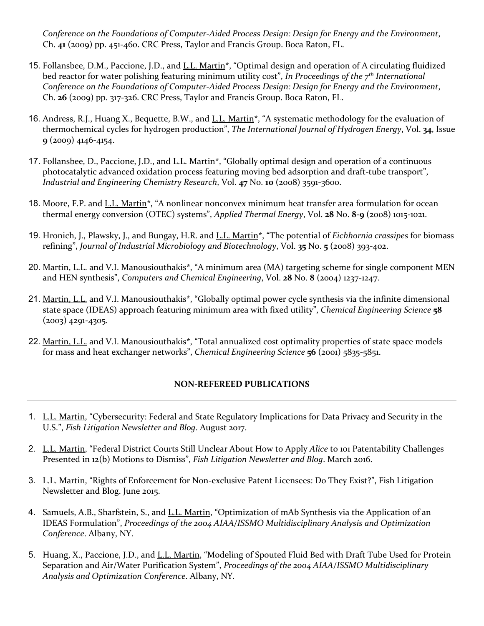*Conference on the Foundations of Computer-Aided Process Design: Design for Energy and the Environment*, Ch. **41** (2009) pp. 451-460. CRC Press, Taylor and Francis Group. Boca Raton, FL.

- 15. Follansbee, D.M., Paccione, J.D., and L.L. Martin\*, "Optimal design and operation of A circulating fluidized bed reactor for water polishing featuring minimum utility cost", *In Proceedings of the 7th International Conference on the Foundations of Computer-Aided Process Design: Design for Energy and the Environment*, Ch. **26** (2009) pp. 317-326. CRC Press, Taylor and Francis Group. Boca Raton, FL.
- 16. Andress, R.J., Huang X., Bequette, B.W., and L.L. Martin\*, "A systematic methodology for the evaluation of thermochemical cycles for hydrogen production", *The International Journal of Hydrogen Energy*, Vol. **34**, Issue **9** (2009) 4146-4154.
- 17. Follansbee, D., Paccione, J.D., and L.L. Martin\*, "Globally optimal design and operation of a continuous photocatalytic advanced oxidation process featuring moving bed adsorption and draft-tube transport", *Industrial and Engineering Chemistry Research*, Vol. **47** No. **10** (2008) 3591-3600.
- 18. Moore, F.P. and L.L. Martin<sup>\*</sup>, "A nonlinear nonconvex minimum heat transfer area formulation for ocean thermal energy conversion (OTEC) systems", *Applied Thermal Energy*, Vol. **28** No. **8-9** (2008) 1015-1021.
- 19. Hronich, J., Plawsky, J., and Bungay, H.R. and L.L. Martin\*, "The potential of *Eichhornia crassipes* for biomass refining", *Journal of Industrial Microbiology and Biotechnology*, Vol. **35** No. **5** (2008) 393-402.
- 20. Martin, L.L. and V.I. Manousiouthakis\*, "A minimum area (MA) targeting scheme for single component MEN and HEN synthesis", *Computers and Chemical Engineering*, Vol. **28** No. **8** (2004) 1237-1247.
- 21. Martin, L.L. and V.I. Manousiouthakis\*, "Globally optimal power cycle synthesis via the infinite dimensional state space (IDEAS) approach featuring minimum area with fixed utility", *Chemical Engineering Science* **58**  $(2003)$  4291-4305.
- 22. Martin, L.L. and V.I. Manousiouthakis\*, "Total annualized cost optimality properties of state space models for mass and heat exchanger networks", *Chemical Engineering Science* **56** (2001) 5835-5851.

# **NON-REFEREED PUBLICATIONS**

- 1. L.L. Martin, "Cybersecurity: Federal and State Regulatory Implications for Data Privacy and Security in the U.S.", *Fish Litigation Newsletter and Blog*. August 2017.
- 2. L.L. Martin, "Federal District Courts Still Unclear About How to Apply *Alice* to 101 Patentability Challenges Presented in 12(b) Motions to Dismiss", *Fish Litigation Newsletter and Blog*. March 2016.
- 3. L.L. Martin, "Rights of Enforcement for Non-exclusive Patent Licensees: Do They Exist?", Fish Litigation Newsletter and Blog. June 2015.
- 4. Samuels, A.B., Sharfstein, S., and <u>L.L. Martin</u>, "Optimization of mAb Synthesis via the Application of an IDEAS Formulation", *Proceedings of the 2004 AIAA/ISSMO Multidisciplinary Analysis and Optimization Conference*. Albany, NY.
- 5. Huang, X., Paccione, J.D., and L.L. Martin, "Modeling of Spouted Fluid Bed with Draft Tube Used for Protein Separation and Air/Water Purification System", *Proceedings of the 2004 AIAA/ISSMO Multidisciplinary Analysis and Optimization Conference*. Albany, NY.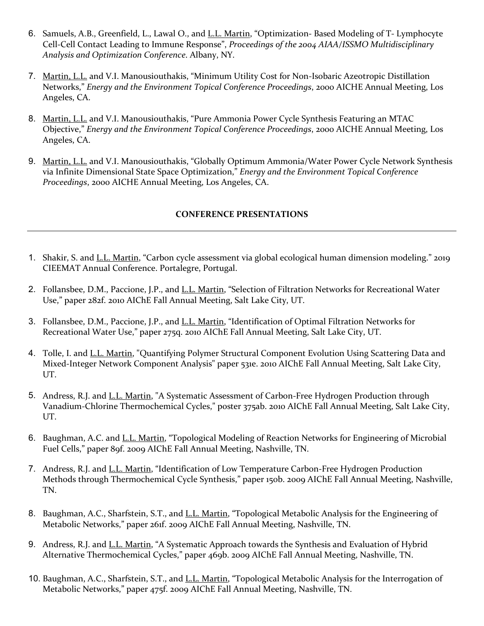- 6. Samuels, A.B., Greenfield, L., Lawal O., and L.L. Martin, "Optimization- Based Modeling of T- Lymphocyte Cell-Cell Contact Leading to Immune Response", *Proceedings of the 2004 AIAA/ISSMO Multidisciplinary Analysis and Optimization Conference*. Albany, NY.
- 7. Martin, L.L. and V.I. Manousiouthakis, "Minimum Utility Cost for Non-Isobaric Azeotropic Distillation Networks," *Energy and the Environment Topical Conference Proceedings*, 2000 AICHE Annual Meeting, Los Angeles, CA.
- 8. Martin, L.L. and V.I. Manousiouthakis, "Pure Ammonia Power Cycle Synthesis Featuring an MTAC Objective," *Energy and the Environment Topical Conference Proceedings*, 2000 AICHE Annual Meeting, Los Angeles, CA.
- 9. Martin, L.L. and V.I. Manousiouthakis, "Globally Optimum Ammonia/Water Power Cycle Network Synthesis via Infinite Dimensional State Space Optimization," *Energy and the Environment Topical Conference Proceedings*, 2000 AICHE Annual Meeting, Los Angeles, CA.

## **CONFERENCE PRESENTATIONS**

- 1. Shakir, S. and L.L. Martin, "Carbon cycle assessment via global ecological human dimension modeling." 2019 CIEEMAT Annual Conference. Portalegre, Portugal.
- 2. Follansbee, D.M., Paccione, J.P., and L.L. Martin, "Selection of Filtration Networks for Recreational Water Use," paper 282f. 2010 AIChE Fall Annual Meeting, Salt Lake City, UT.
- 3. Follansbee, D.M., Paccione, J.P., and L.L. Martin, "Identification of Optimal Filtration Networks for Recreational Water Use," paper 275q. 2010 AIChE Fall Annual Meeting, Salt Lake City, UT.
- 4. Tolle, I. and L.L. Martin, "Quantifying Polymer Structural Component Evolution Using Scattering Data and Mixed-Integer Network Component Analysis" paper 531e. 2010 AIChE Fall Annual Meeting, Salt Lake City, UT.
- 5. Andress, R.J. and L.L. Martin, "A Systematic Assessment of Carbon-Free Hydrogen Production through Vanadium-Chlorine Thermochemical Cycles," poster 375ab. 2010 AIChE Fall Annual Meeting, Salt Lake City, UT.
- 6. Baughman, A.C. and L.L. Martin, "Topological Modeling of Reaction Networks for Engineering of Microbial Fuel Cells," paper 89f. 2009 AIChE Fall Annual Meeting, Nashville, TN.
- 7. Andress, R.J. and L.L. Martin, "Identification of Low Temperature Carbon-Free Hydrogen Production Methods through Thermochemical Cycle Synthesis," paper 150b. 2009 AIChE Fall Annual Meeting, Nashville, TN.
- 8. Baughman, A.C., Sharfstein, S.T., and L.L. Martin, "Topological Metabolic Analysis for the Engineering of Metabolic Networks," paper 261f. 2009 AIChE Fall Annual Meeting, Nashville, TN.
- 9. Andress, R.J. and L.L. Martin, "A Systematic Approach towards the Synthesis and Evaluation of Hybrid Alternative Thermochemical Cycles," paper 469b. 2009 AIChE Fall Annual Meeting, Nashville, TN.
- 10. Baughman, A.C., Sharfstein, S.T., and L.L. Martin, "Topological Metabolic Analysis for the Interrogation of Metabolic Networks," paper 475f. 2009 AIChE Fall Annual Meeting, Nashville, TN.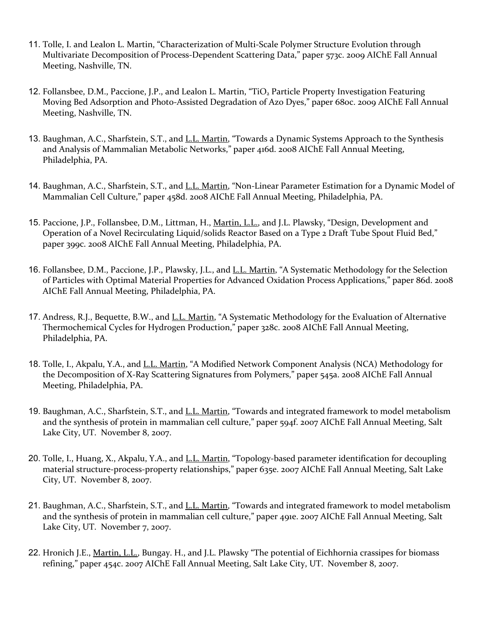- 11. Tolle, I. and Lealon L. Martin, "Characterization of Multi-Scale Polymer Structure Evolution through Multivariate Decomposition of Process-Dependent Scattering Data," paper 573c. 2009 AIChE Fall Annual Meeting, Nashville, TN.
- 12. Follansbee, D.M., Paccione, J.P., and Lealon L. Martin, "TiO<sub>2</sub> Particle Property Investigation Featuring Moving Bed Adsorption and Photo-Assisted Degradation of Azo Dyes," paper 680c. 2009 AIChE Fall Annual Meeting, Nashville, TN.
- 13. Baughman, A.C., Sharfstein, S.T., and L.L. Martin, "Towards a Dynamic Systems Approach to the Synthesis and Analysis of Mammalian Metabolic Networks," paper 416d. 2008 AIChE Fall Annual Meeting, Philadelphia, PA.
- 14. Baughman, A.C., Sharfstein, S.T., and *L.L. Martin*, "Non-Linear Parameter Estimation for a Dynamic Model of Mammalian Cell Culture," paper 458d. 2008 AIChE Fall Annual Meeting, Philadelphia, PA.
- 15. Paccione, J.P., Follansbee, D.M., Littman, H., Martin, L.L., and J.L. Plawsky, "Design, Development and Operation of a Novel Recirculating Liquid/solids Reactor Based on a Type 2 Draft Tube Spout Fluid Bed," paper 399c. 2008 AIChE Fall Annual Meeting, Philadelphia, PA.
- 16. Follansbee, D.M., Paccione, J.P., Plawsky, J.L., and L.L. Martin, "A Systematic Methodology for the Selection of Particles with Optimal Material Properties for Advanced Oxidation Process Applications," paper 86d. 2008 AIChE Fall Annual Meeting, Philadelphia, PA.
- 17. Andress, R.J., Bequette, B.W., and L.L. Martin, "A Systematic Methodology for the Evaluation of Alternative Thermochemical Cycles for Hydrogen Production," paper 328c. 2008 AIChE Fall Annual Meeting, Philadelphia, PA.
- 18. Tolle, I., Akpalu, Y.A., and L.L. Martin, "A Modified Network Component Analysis (NCA) Methodology for the Decomposition of X-Ray Scattering Signatures from Polymers," paper 545a. 2008 AIChE Fall Annual Meeting, Philadelphia, PA.
- 19. Baughman, A.C., Sharfstein, S.T., and L.L. Martin, "Towards and integrated framework to model metabolism and the synthesis of protein in mammalian cell culture," paper 594f. 2007 AIChE Fall Annual Meeting, Salt Lake City, UT. November 8, 2007.
- 20. Tolle, I., Huang, X., Akpalu, Y.A., and <u>L.L. Martin</u>, "Topology-based parameter identification for decoupling material structure-process-property relationships," paper 635e. 2007 AIChE Fall Annual Meeting, Salt Lake City, UT. November 8, 2007.
- 21. Baughman, A.C., Sharfstein, S.T., and L.L. Martin, "Towards and integrated framework to model metabolism and the synthesis of protein in mammalian cell culture," paper 491e. 2007 AIChE Fall Annual Meeting, Salt Lake City, UT. November 7, 2007.
- 22. Hronich J.E., Martin, L.L., Bungay. H., and J.L. Plawsky "The potential of Eichhornia crassipes for biomass refining," paper 454c. 2007 AIChE Fall Annual Meeting, Salt Lake City, UT. November 8, 2007.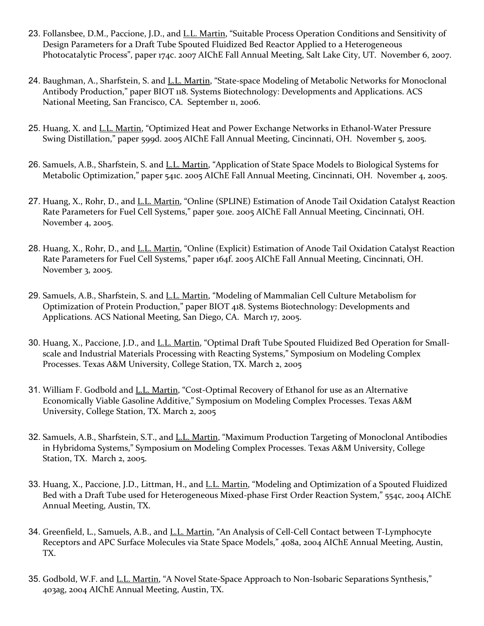- 23. Follansbee, D.M., Paccione, J.D., and L.L. Martin, "Suitable Process Operation Conditions and Sensitivity of Design Parameters for a Draft Tube Spouted Fluidized Bed Reactor Applied to a Heterogeneous Photocatalytic Process", paper 174c. 2007 AIChE Fall Annual Meeting, Salt Lake City, UT. November 6, 2007.
- 24. Baughman, A., Sharfstein, S. and L.L. Martin, "State-space Modeling of Metabolic Networks for Monoclonal Antibody Production," paper BIOT 118. Systems Biotechnology: Developments and Applications. ACS National Meeting, San Francisco, CA. September 11, 2006.
- 25. Huang, X. and L.L. Martin, "Optimized Heat and Power Exchange Networks in Ethanol-Water Pressure Swing Distillation," paper 599d. 2005 AIChE Fall Annual Meeting, Cincinnati, OH. November 5, 2005.
- 26. Samuels, A.B., Sharfstein, S. and L.L. Martin, "Application of State Space Models to Biological Systems for Metabolic Optimization," paper 541c. 2005 AIChE Fall Annual Meeting, Cincinnati, OH. November 4, 2005.
- 27. Huang, X., Rohr, D., and L.L. Martin, "Online (SPLINE) Estimation of Anode Tail Oxidation Catalyst Reaction Rate Parameters for Fuel Cell Systems," paper 501e. 2005 AIChE Fall Annual Meeting, Cincinnati, OH. November 4, 2005.
- 28. Huang, X., Rohr, D., and L.L. Martin, "Online (Explicit) Estimation of Anode Tail Oxidation Catalyst Reaction Rate Parameters for Fuel Cell Systems," paper 164f. 2005 AIChE Fall Annual Meeting, Cincinnati, OH. November 3, 2005.
- 29. Samuels, A.B., Sharfstein, S. and L.L. Martin, "Modeling of Mammalian Cell Culture Metabolism for Optimization of Protein Production," paper BIOT 418. Systems Biotechnology: Developments and Applications. ACS National Meeting, San Diego, CA. March 17, 2005.
- 30. Huang, X., Paccione, J.D., and L.L. Martin, "Optimal Draft Tube Spouted Fluidized Bed Operation for Smallscale and Industrial Materials Processing with Reacting Systems," Symposium on Modeling Complex Processes. Texas A&M University, College Station, TX. March 2, 2005
- 31. William F. Godbold and L.L. Martin, "Cost-Optimal Recovery of Ethanol for use as an Alternative Economically Viable Gasoline Additive," Symposium on Modeling Complex Processes. Texas A&M University, College Station, TX. March 2, 2005
- 32. Samuels, A.B., Sharfstein, S.T., and L.L. Martin, "Maximum Production Targeting of Monoclonal Antibodies in Hybridoma Systems," Symposium on Modeling Complex Processes. Texas A&M University, College Station, TX. March 2, 2005.
- 33. Huang, X., Paccione, J.D., Littman, H., and L.L. Martin, "Modeling and Optimization of a Spouted Fluidized Bed with a Draft Tube used for Heterogeneous Mixed-phase First Order Reaction System," 554c, 2004 AIChE Annual Meeting, Austin, TX.
- 34. Greenfield, L., Samuels, A.B., and L.L. Martin, "An Analysis of Cell-Cell Contact between T-Lymphocyte Receptors and APC Surface Molecules via State Space Models," 408a, 2004 AIChE Annual Meeting, Austin, TX.
- 35. Godbold, W.F. and L.L. Martin, "A Novel State-Space Approach to Non-Isobaric Separations Synthesis," 403ag, 2004 AIChE Annual Meeting, Austin, TX.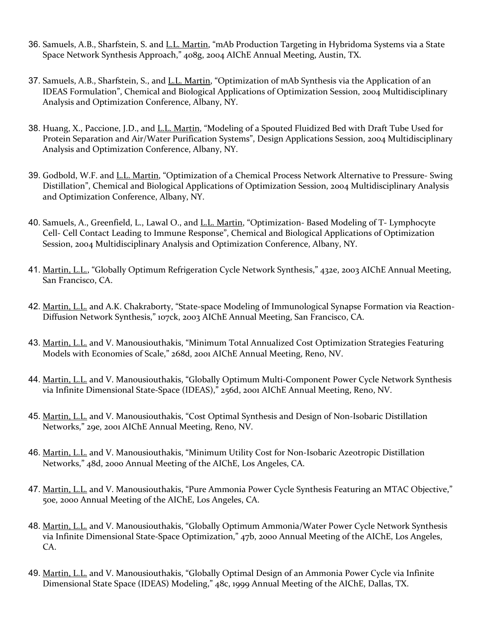- 36. Samuels, A.B., Sharfstein, S. and L.L. Martin, "mAb Production Targeting in Hybridoma Systems via a State Space Network Synthesis Approach," 408g, 2004 AIChE Annual Meeting, Austin, TX.
- 37. Samuels, A.B., Sharfstein, S., and L.L. Martin, "Optimization of mAb Synthesis via the Application of an IDEAS Formulation", Chemical and Biological Applications of Optimization Session, 2004 Multidisciplinary Analysis and Optimization Conference, Albany, NY.
- 38. Huang, X., Paccione, J.D., and L.L. Martin, "Modeling of a Spouted Fluidized Bed with Draft Tube Used for Protein Separation and Air/Water Purification Systems", Design Applications Session, 2004 Multidisciplinary Analysis and Optimization Conference, Albany, NY.
- 39. Godbold, W.F. and L.L. Martin, "Optimization of a Chemical Process Network Alternative to Pressure- Swing Distillation", Chemical and Biological Applications of Optimization Session, 2004 Multidisciplinary Analysis and Optimization Conference, Albany, NY.
- 40. Samuels, A., Greenfield, L., Lawal O., and L.L. Martin, "Optimization- Based Modeling of T- Lymphocyte Cell- Cell Contact Leading to Immune Response", Chemical and Biological Applications of Optimization Session, 2004 Multidisciplinary Analysis and Optimization Conference, Albany, NY.
- 41. Martin, L.L., "Globally Optimum Refrigeration Cycle Network Synthesis," 432e, 2003 AIChE Annual Meeting, San Francisco, CA.
- 42. Martin, L.L. and A.K. Chakraborty, "State-space Modeling of Immunological Synapse Formation via Reaction-Diffusion Network Synthesis," 107ck, 2003 AIChE Annual Meeting, San Francisco, CA.
- 43. Martin, L.L. and V. Manousiouthakis, "Minimum Total Annualized Cost Optimization Strategies Featuring Models with Economies of Scale," 268d, 2001 AIChE Annual Meeting, Reno, NV.
- 44. Martin, L.L. and V. Manousiouthakis, "Globally Optimum Multi-Component Power Cycle Network Synthesis via Infinite Dimensional State-Space (IDEAS)," 256d, 2001 AIChE Annual Meeting, Reno, NV.
- 45. Martin, L.L. and V. Manousiouthakis, "Cost Optimal Synthesis and Design of Non-Isobaric Distillation Networks," 29e, 2001 AIChE Annual Meeting, Reno, NV.
- 46. Martin, L.L. and V. Manousiouthakis, "Minimum Utility Cost for Non-Isobaric Azeotropic Distillation Networks," 48d, 2000 Annual Meeting of the AIChE, Los Angeles, CA.
- 47. Martin, L.L. and V. Manousiouthakis, "Pure Ammonia Power Cycle Synthesis Featuring an MTAC Objective," 50e, 2000 Annual Meeting of the AIChE, Los Angeles, CA.
- 48. Martin, L.L. and V. Manousiouthakis, "Globally Optimum Ammonia/Water Power Cycle Network Synthesis via Infinite Dimensional State-Space Optimization," 47b, 2000 Annual Meeting of the AIChE, Los Angeles, CA.
- 49. Martin, L.L. and V. Manousiouthakis, "Globally Optimal Design of an Ammonia Power Cycle via Infinite Dimensional State Space (IDEAS) Modeling," 48c, 1999 Annual Meeting of the AIChE, Dallas, TX.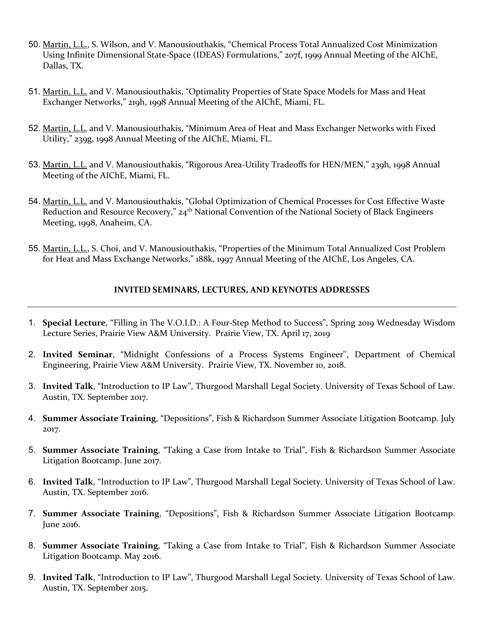- 50. Martin, L.L., S. Wilson, and V. Manousiouthakis, "Chemical Process Total Annualized Cost Minimization Using Infinite Dimensional State-Space (IDEAS) Formulations," 207f, 1999 Annual Meeting of the AIChE, Dallas, TX.
- 51. Martin, L.L. and V. Manousiouthakis, "Optimality Properties of State Space Models for Mass and Heat Exchanger Networks," 219h, 1998 Annual Meeting of the AIChE, Miami, FL.
- 52. Martin, L.L. and V. Manousiouthakis, "Minimum Area of Heat and Mass Exchanger Networks with Fixed Utility," 239g, 1998 Annual Meeting of the AIChE, Miami, FL.
- 53. Martin, L.L. and V. Manousiouthakis, "Rigorous Area-Utility Tradeoffs for HEN/MEN," 239h, 1998 Annual Meeting of the AIChE, Miami, FL.
- 54. Martin, L.L. and V. Manousiouthakis, "Global Optimization of Chemical Processes for Cost Effective Waste Reduction and Resource Recovery," 24<sup>th</sup> National Convention of the National Society of Black Engineers Meeting, 1998, Anaheim, CA.
- 55. Martin, L.L., S. Choi, and V. Manousiouthakis, "Properties of the Minimum Total Annualized Cost Problem for Heat and Mass Exchange Networks," 188k, 1997 Annual Meeting of the AIChE, Los Angeles, CA.

## **INVITED SEMINARS, LECTURES, AND KEYNOTES ADDRESSES**

- 1. **Special Lecture**, "Filling in The V.O.I.D.: A Four-Step Method to Success", Spring 2019 Wednesday Wisdom Lecture Series, Prairie View A&M University. Prairie View, TX. April 17, 2019
- 2. **Invited Seminar**, "Midnight Confessions of a Process Systems Engineer'', Department of Chemical Engineering, Prairie View A&M University. Prairie View, TX. November 10, 2018.
- 3. **Invited Talk**, "Introduction to IP Law", Thurgood Marshall Legal Society. University of Texas School of Law. Austin, TX. September 2017.
- 4. **Summer Associate Training**, "Depositions", Fish & Richardson Summer Associate Litigation Bootcamp. July 2017.
- 5. **Summer Associate Training**, "Taking a Case from Intake to Trial", Fish & Richardson Summer Associate Litigation Bootcamp. June 2017.
- 6. **Invited Talk**, "Introduction to IP Law", Thurgood Marshall Legal Society. University of Texas School of Law. Austin, TX. September 2016.
- 7. **Summer Associate Training**, "Depositions", Fish & Richardson Summer Associate Litigation Bootcamp. June 2016.
- 8. **Summer Associate Training**, "Taking a Case from Intake to Trial", Fish & Richardson Summer Associate Litigation Bootcamp. May 2016.
- 9. **Invited Talk**, "Introduction to IP Law", Thurgood Marshall Legal Society. University of Texas School of Law. Austin, TX. September 2015.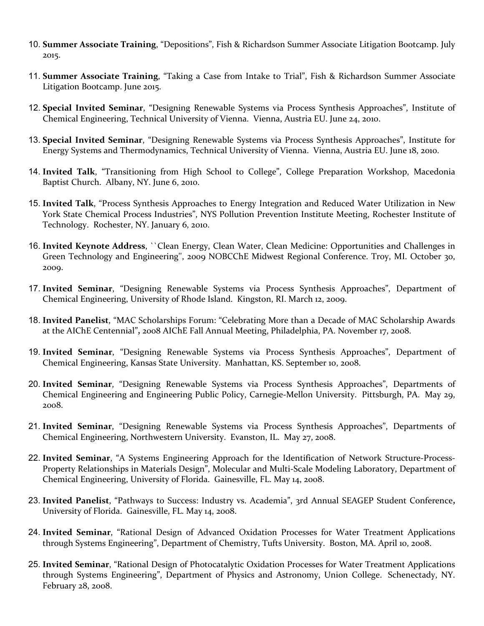- 10. **Summer Associate Training**, "Depositions", Fish & Richardson Summer Associate Litigation Bootcamp. July 2015.
- 11. **Summer Associate Training**, "Taking a Case from Intake to Trial", Fish & Richardson Summer Associate Litigation Bootcamp. June 2015.
- 12. **Special Invited Seminar**, "Designing Renewable Systems via Process Synthesis Approaches", Institute of Chemical Engineering, Technical University of Vienna. Vienna, Austria EU. June 24, 2010.
- 13. **Special Invited Seminar**, "Designing Renewable Systems via Process Synthesis Approaches", Institute for Energy Systems and Thermodynamics, Technical University of Vienna. Vienna, Austria EU. June 18, 2010.
- 14. **Invited Talk**, "Transitioning from High School to College", College Preparation Workshop, Macedonia Baptist Church. Albany, NY. June 6, 2010.
- 15. **Invited Talk**, "Process Synthesis Approaches to Energy Integration and Reduced Water Utilization in New York State Chemical Process Industries", NYS Pollution Prevention Institute Meeting, Rochester Institute of Technology. Rochester, NY. January 6, 2010.
- 16. **Invited Keynote Address**, ``Clean Energy, Clean Water, Clean Medicine: Opportunities and Challenges in Green Technology and Engineering'', 2009 NOBCChE Midwest Regional Conference. Troy, MI. October 30, 2009.
- 17. **Invited Seminar**, "Designing Renewable Systems via Process Synthesis Approaches", Department of Chemical Engineering, University of Rhode Island. Kingston, RI. March 12, 2009.
- 18. **Invited Panelist**, "MAC Scholarships Forum: "Celebrating More than a Decade of MAC Scholarship Awards at the AIChE Centennial"**,** 2008 AIChE Fall Annual Meeting, Philadelphia, PA. November 17, 2008.
- 19. **Invited Seminar**, "Designing Renewable Systems via Process Synthesis Approaches", Department of Chemical Engineering, Kansas State University. Manhattan, KS. September 10, 2008.
- 20. **Invited Seminar**, "Designing Renewable Systems via Process Synthesis Approaches", Departments of Chemical Engineering and Engineering Public Policy, Carnegie-Mellon University. Pittsburgh, PA. May 29, 2008.
- 21. **Invited Seminar**, "Designing Renewable Systems via Process Synthesis Approaches", Departments of Chemical Engineering, Northwestern University. Evanston, IL. May 27, 2008.
- 22. **Invited Seminar**, "A Systems Engineering Approach for the Identification of Network Structure-Process-Property Relationships in Materials Design", Molecular and Multi-Scale Modeling Laboratory, Department of Chemical Engineering, University of Florida. Gainesville, FL. May 14, 2008.
- 23. **Invited Panelist**, "Pathways to Success: Industry vs. Academia", 3rd Annual SEAGEP Student Conference**,** University of Florida. Gainesville, FL. May 14, 2008.
- 24. **Invited Seminar**, "Rational Design of Advanced Oxidation Processes for Water Treatment Applications through Systems Engineering", Department of Chemistry, Tufts University. Boston, MA. April 10, 2008.
- 25. **Invited Seminar**, "Rational Design of Photocatalytic Oxidation Processes for Water Treatment Applications through Systems Engineering", Department of Physics and Astronomy, Union College. Schenectady, NY. February 28, 2008.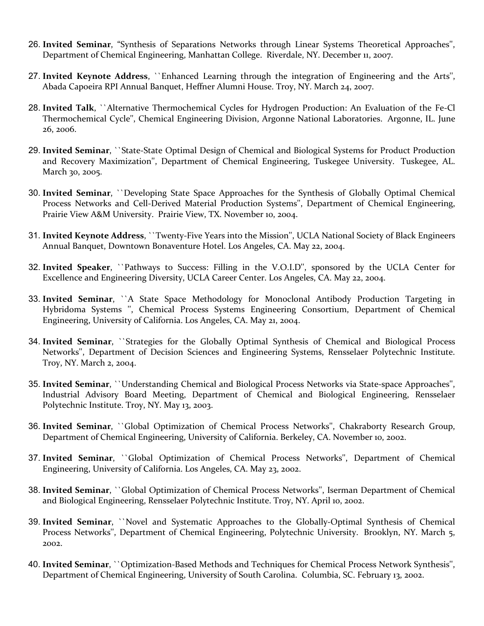- 26. **Invited Seminar**, "Synthesis of Separations Networks through Linear Systems Theoretical Approaches'', Department of Chemical Engineering, Manhattan College. Riverdale, NY. December 11, 2007.
- 27. **Invited Keynote Address**, ``Enhanced Learning through the integration of Engineering and the Arts'', Abada Capoeira RPI Annual Banquet, Heffner Alumni House. Troy, NY. March 24, 2007.
- 28. **Invited Talk**, ``Alternative Thermochemical Cycles for Hydrogen Production: An Evaluation of the Fe-Cl Thermochemical Cycle'', Chemical Engineering Division, Argonne National Laboratories. Argonne, IL. June 26, 2006.
- 29. **Invited Seminar**, ``State-State Optimal Design of Chemical and Biological Systems for Product Production and Recovery Maximization'', Department of Chemical Engineering, Tuskegee University. Tuskegee, AL. March 30, 2005.
- 30. **Invited Seminar**, ``Developing State Space Approaches for the Synthesis of Globally Optimal Chemical Process Networks and Cell-Derived Material Production Systems'', Department of Chemical Engineering, Prairie View A&M University. Prairie View, TX. November 10, 2004.
- 31. **Invited Keynote Address**, ``Twenty-Five Years into the Mission'', UCLA National Society of Black Engineers Annual Banquet, Downtown Bonaventure Hotel. Los Angeles, CA. May 22, 2004.
- 32. **Invited Speaker**, ``Pathways to Success: Filling in the V.O.I.D'', sponsored by the UCLA Center for Excellence and Engineering Diversity, UCLA Career Center. Los Angeles, CA. May 22, 2004.
- 33. **Invited Seminar**, ``A State Space Methodology for Monoclonal Antibody Production Targeting in Hybridoma Systems '', Chemical Process Systems Engineering Consortium, Department of Chemical Engineering, University of California. Los Angeles, CA. May 21, 2004.
- 34. **Invited Seminar**, ``Strategies for the Globally Optimal Synthesis of Chemical and Biological Process Networks'', Department of Decision Sciences and Engineering Systems, Rensselaer Polytechnic Institute. Troy, NY. March 2, 2004.
- 35. **Invited Seminar**, ``Understanding Chemical and Biological Process Networks via State-space Approaches'', Industrial Advisory Board Meeting, Department of Chemical and Biological Engineering, Rensselaer Polytechnic Institute. Troy, NY. May 13, 2003.
- 36. **Invited Seminar**, ``Global Optimization of Chemical Process Networks'', Chakraborty Research Group, Department of Chemical Engineering, University of California. Berkeley, CA. November 10, 2002.
- 37. **Invited Seminar**, ``Global Optimization of Chemical Process Networks'', Department of Chemical Engineering, University of California. Los Angeles, CA. May 23, 2002.
- 38. **Invited Seminar**, ``Global Optimization of Chemical Process Networks'', Iserman Department of Chemical and Biological Engineering, Rensselaer Polytechnic Institute. Troy, NY. April 10, 2002.
- 39. **Invited Seminar**, ``Novel and Systematic Approaches to the Globally-Optimal Synthesis of Chemical Process Networks'', Department of Chemical Engineering, Polytechnic University. Brooklyn, NY. March 5, 2002.
- 40. **Invited Seminar**, ``Optimization-Based Methods and Techniques for Chemical Process Network Synthesis'', Department of Chemical Engineering, University of South Carolina. Columbia, SC. February 13, 2002.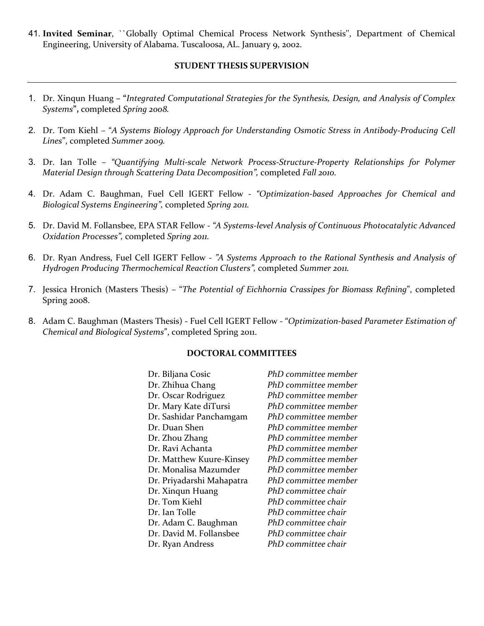41. **Invited Seminar**, ``Globally Optimal Chemical Process Network Synthesis'', Department of Chemical Engineering, University of Alabama. Tuscaloosa, AL. January 9, 2002.

### **STUDENT THESIS SUPERVISION**

- 1. Dr. Xinqun Huang **– "***Integrated Computational Strategies for the Synthesis, Design, and Analysis of Complex Systems***",** completed *Spring 2008.*
- 2. Dr. Tom Kiehl "*A Systems Biology Approach for Understanding Osmotic Stress in Antibody-Producing Cell Lines*", completed *Summer 2009.*
- 3. Dr. Ian Tolle *"Quantifying Multi-scale Network Process-Structure-Property Relationships for Polymer Material Design through Scattering Data Decomposition",* completed *Fall 2010.*
- 4. Dr. Adam C. Baughman, Fuel Cell IGERT Fellow *"Optimization-based Approaches for Chemical and Biological Systems Engineering",* completed *Spring 2011.*
- 5. Dr. David M. Follansbee, EPA STAR Fellow *"A Systems-level Analysis of Continuous Photocatalytic Advanced Oxidation Processes",* completed *Spring 2011.*
- 6. Dr. Ryan Andress, Fuel Cell IGERT Fellow *"A Systems Approach to the Rational Synthesis and Analysis of Hydrogen Producing Thermochemical Reaction Clusters",* completed *Summer 2011.*
- 7. Jessica Hronich (Masters Thesis) "*The Potential of Eichhornia Crassipes for Biomass Refining*", completed Spring 2008.
- 8. Adam C. Baughman (Masters Thesis) Fuel Cell IGERT Fellow "*Optimization-based Parameter Estimation of Chemical and Biological Systems*", completed Spring 2011.

#### **DOCTORAL COMMITTEES**

| Dr. Biljana Cosic         | PhD committee member |
|---------------------------|----------------------|
| Dr. Zhihua Chang          | PhD committee member |
| Dr. Oscar Rodriguez       | PhD committee member |
| Dr. Mary Kate diTursi     | PhD committee member |
| Dr. Sashidar Panchamgam   | PhD committee member |
| Dr. Duan Shen             | PhD committee member |
| Dr. Zhou Zhang            | PhD committee member |
| Dr. Ravi Achanta          | PhD committee member |
| Dr. Matthew Kuure-Kinsey  | PhD committee member |
| Dr. Monalisa Mazumder     | PhD committee member |
| Dr. Priyadarshi Mahapatra | PhD committee member |
| Dr. Xinqun Huang          | PhD committee chair  |
| Dr. Tom Kiehl             | PhD committee chair  |
| Dr. Ian Tolle             | PhD committee chair  |
| Dr. Adam C. Baughman      | PhD committee chair  |
| Dr. David M. Follansbee   | PhD committee chair  |
| Dr. Ryan Andress          | PhD committee chair  |
|                           |                      |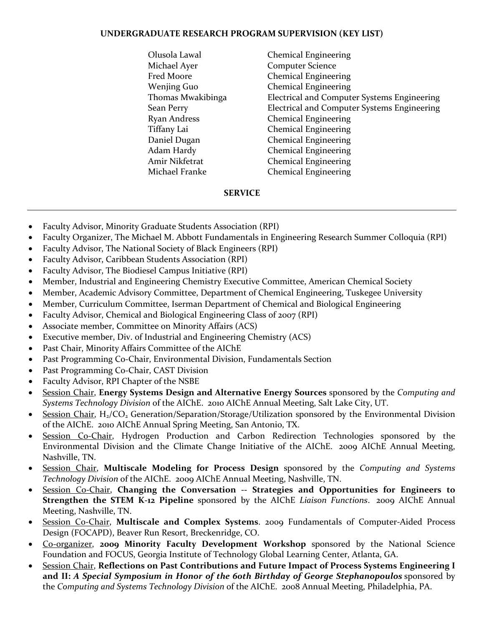## **UNDERGRADUATE RESEARCH PROGRAM SUPERVISION (KEY LIST)**

Olusola Lawal Chemical Engineering Michael Ayer **Computer Science** Fred Moore Chemical Engineering Wenjing Guo Chemical Engineering Thomas Mwakibinga Electrical and Computer Systems Engineering Sean Perry Electrical and Computer Systems Engineering Ryan Andress Chemical Engineering Tiffany Lai Chemical Engineering Daniel Dugan Chemical Engineering Adam Hardy Chemical Engineering Amir Nikfetrat Chemical Engineering Michael Franke Chemical Engineering

## **SERVICE**

- Faculty Advisor, Minority Graduate Students Association (RPI)
- Faculty Organizer, The Michael M. Abbott Fundamentals in Engineering Research Summer Colloquia (RPI)
- Faculty Advisor, The National Society of Black Engineers (RPI)
- Faculty Advisor, Caribbean Students Association (RPI)
- Faculty Advisor, The Biodiesel Campus Initiative (RPI)
- Member, Industrial and Engineering Chemistry Executive Committee, American Chemical Society
- Member, Academic Advisory Committee, Department of Chemical Engineering, Tuskegee University
- Member, Curriculum Committee, Iserman Department of Chemical and Biological Engineering
- Faculty Advisor, Chemical and Biological Engineering Class of 2007 (RPI)
- Associate member, Committee on Minority Affairs (ACS)
- Executive member, Div. of Industrial and Engineering Chemistry (ACS)
- Past Chair, Minority Affairs Committee of the AIChE
- Past Programming Co-Chair, Environmental Division, Fundamentals Section
- Past Programming Co-Chair, CAST Division
- Faculty Advisor, RPI Chapter of the NSBE
- Session Chair, **Energy Systems Design and Alternative Energy Sources** sponsored by the *Computing and Systems Technology Division* of the AIChE. 2010 AIChE Annual Meeting, Salt Lake City, UT.
- Session Chair,  $H_2/CO_2$  Generation/Separation/Storage/Utilization sponsored by the Environmental Division of the AIChE. 2010 AIChE Annual Spring Meeting, San Antonio, TX.
- Session Co-Chair, Hydrogen Production and Carbon Redirection Technologies sponsored by the Environmental Division and the Climate Change Initiative of the AIChE. 2009 AIChE Annual Meeting, Nashville, TN.
- Session Chair, **Multiscale Modeling for Process Design** sponsored by the *Computing and Systems Technology Division* of the AIChE. 2009 AIChE Annual Meeting, Nashville, TN.
- Session Co-Chair, **Changing the Conversation -- Strategies and Opportunities for Engineers to Strengthen the STEM K-12 Pipeline** sponsored by the AIChE *Liaison Functions*. 2009 AIChE Annual Meeting, Nashville, TN.
- Session Co-Chair, **Multiscale and Complex Systems**. 2009 Fundamentals of Computer-Aided Process Design (FOCAPD), Beaver Run Resort, Breckenridge, CO.
- Co-organizer, **2009 Minority Faculty Development Workshop** sponsored by the National Science Foundation and FOCUS, Georgia Institute of Technology Global Learning Center, Atlanta, GA.
- Session Chair, **Reflections on Past Contributions and Future Impact of Process Systems Engineering I and II:** *A Special Symposium in Honor of the 60th Birthday of George Stephanopoulos* sponsored by the *Computing and Systems Technology Division* of the AIChE. 2008 Annual Meeting, Philadelphia, PA.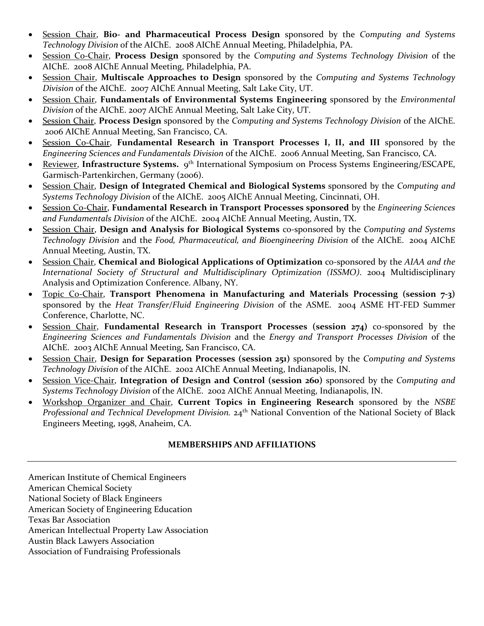- Session Chair, **Bio- and Pharmaceutical Process Design** sponsored by the *Computing and Systems Technology Division* of the AIChE. 2008 AIChE Annual Meeting, Philadelphia, PA.
- Session Co-Chair, **Process Design** sponsored by the *Computing and Systems Technology Division* of the AIChE. 2008 AIChE Annual Meeting, Philadelphia, PA.
- Session Chair, **Multiscale Approaches to Design** sponsored by the *Computing and Systems Technology Division* of the AIChE. 2007 AIChE Annual Meeting, Salt Lake City, UT.
- Session Chair, **Fundamentals of Environmental Systems Engineering** sponsored by the *Environmental Division* of the AIChE. 2007 AIChE Annual Meeting, Salt Lake City, UT.
- Session Chair, **Process Design** sponsored by the *Computing and Systems Technology Division* of the AIChE. 2006 AIChE Annual Meeting, San Francisco, CA.
- Session Co-Chair, **Fundamental Research in Transport Processes I, II, and III** sponsored by the *Engineering Sciences and Fundamentals Division* of the AIChE. 2006 Annual Meeting, San Francisco, CA.
- Reviewer, **Infrastructure Systems.** 9th International Symposium on Process Systems Engineering/ESCAPE, Garmisch-Partenkirchen, Germany (2006).
- Session Chair, **Design of Integrated Chemical and Biological Systems** sponsored by the *Computing and Systems Technology Division* of the AIChE. 2005 AIChE Annual Meeting, Cincinnati, OH.
- Session Co-Chair, **Fundamental Research in Transport Processes sponsored** by the *Engineering Sciences and Fundamentals Division* of the AIChE. 2004 AIChE Annual Meeting, Austin, TX.
- Session Chair, **Design and Analysis for Biological Systems** co-sponsored by the *Computing and Systems Technology Division* and the *Food, Pharmaceutical, and Bioengineering Division* of the AIChE. 2004 AIChE Annual Meeting, Austin, TX.
- Session Chair, **Chemical and Biological Applications of Optimization** co-sponsored by the *AIAA and the International Society of Structural and Multidisciplinary Optimization (ISSMO)*. 2004 Multidisciplinary Analysis and Optimization Conference. Albany, NY.
- Topic Co-Chair, **Transport Phenomena in Manufacturing and Materials Processing (session 7-3)**  sponsored by the *Heat Transfer/Fluid Engineering Division* of the ASME. 2004 ASME HT-FED Summer Conference, Charlotte, NC.
- Session Chair, **Fundamental Research in Transport Processes (session 274)** co-sponsored by the *Engineering Sciences and Fundamentals Division* and the *Energy and Transport Processes Division* of the AIChE. 2003 AIChE Annual Meeting, San Francisco, CA.
- Session Chair, **Design for Separation Processes (session 251)** sponsored by the *Computing and Systems Technology Division* of the AIChE. 2002 AIChE Annual Meeting, Indianapolis, IN.
- Session Vice-Chair, **Integration of Design and Control (session 260)** sponsored by the *Computing and Systems Technology Division* of the AIChE. 2002 AIChE Annual Meeting, Indianapolis, IN.
- Workshop Organizer and Chair, **Current Topics in Engineering Research** sponsored by the *NSBE Professional and Technical Development Division.* 24th National Convention of the National Society of Black Engineers Meeting, 1998, Anaheim, CA.

# **MEMBERSHIPS AND AFFILIATIONS**

American Institute of Chemical Engineers American Chemical Society National Society of Black Engineers American Society of Engineering Education Texas Bar Association American Intellectual Property Law Association Austin Black Lawyers Association Association of Fundraising Professionals